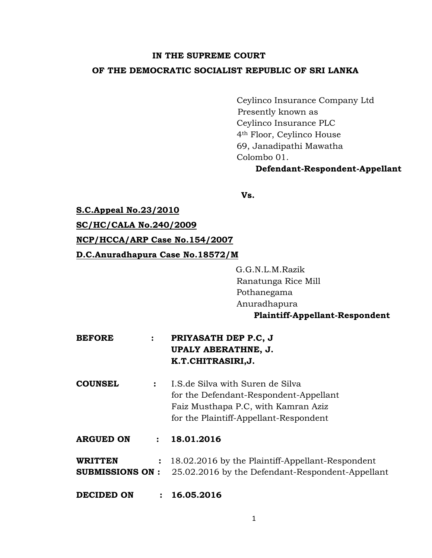# **IN THE SUPREME COURT OF THE DEMOCRATIC SOCIALIST REPUBLIC OF SRI LANKA**

Ceylinco Insurance Company Ltd Presently known as Ceylinco Insurance PLC 4th Floor, Ceylinco House 69, Janadipathi Mawatha Colombo 01.

#### **Defendant-Respondent-Appellant**

**Vs.**

**S.C.Appeal No.23/2010**

**SC/HC/CALA No.240/2009**

#### **NCP/HCCA/ARP Case No.154/2007**

**D.C.Anuradhapura Case No.18572/M** 

G.G.N.L.M.Razik Ranatunga Rice Mill Pothanegama Anuradhapura **Plaintiff-Appellant-Respondent**

- **BEFORE : PRIYASATH DEP P.C, J UPALY ABERATHNE, J. K.T.CHITRASIRI,J.**
- **COUNSEL :** I.S.de Silva with Suren de Silva for the Defendant-Respondent-Appellant Faiz Musthapa P.C, with Kamran Aziz for the Plaintiff-Appellant-Respondent
- **ARGUED ON : 18.01.2016**

**WRITTEN :** 18.02.2016 by the Plaintiff-Appellant-Respondent **SUBMISSIONS ON :** 25.02.2016 by the Defendant-Respondent-Appellant

**DECIDED ON : 16.05.2016**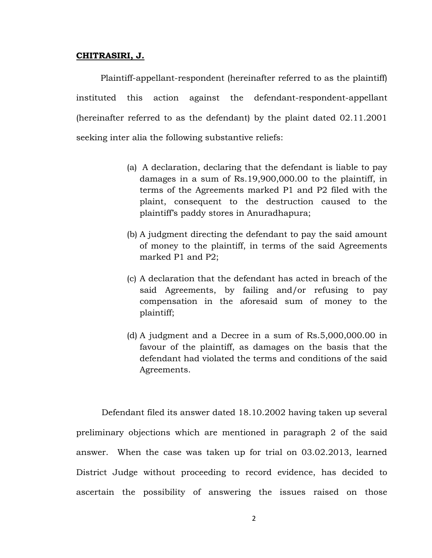#### **CHITRASIRI, J.**

 Plaintiff-appellant-respondent (hereinafter referred to as the plaintiff) instituted this action against the defendant-respondent-appellant (hereinafter referred to as the defendant) by the plaint dated 02.11.2001 seeking inter alia the following substantive reliefs:

- (a) A declaration, declaring that the defendant is liable to pay damages in a sum of Rs.19,900,000.00 to the plaintiff, in terms of the Agreements marked P1 and P2 filed with the plaint, consequent to the destruction caused to the plaintiff's paddy stores in Anuradhapura;
- (b) A judgment directing the defendant to pay the said amount of money to the plaintiff, in terms of the said Agreements marked P1 and P2;
- (c) A declaration that the defendant has acted in breach of the said Agreements, by failing and/or refusing to pay compensation in the aforesaid sum of money to the plaintiff;
- (d) A judgment and a Decree in a sum of Rs.5,000,000.00 in favour of the plaintiff, as damages on the basis that the defendant had violated the terms and conditions of the said Agreements.

Defendant filed its answer dated 18.10.2002 having taken up several preliminary objections which are mentioned in paragraph 2 of the said answer. When the case was taken up for trial on 03.02.2013, learned District Judge without proceeding to record evidence, has decided to ascertain the possibility of answering the issues raised on those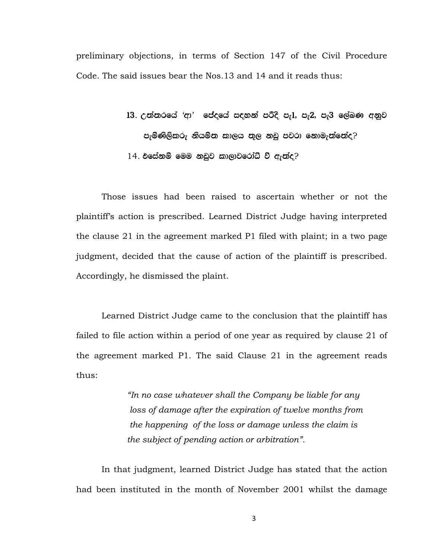preliminary objections, in terms of Section 147 of the Civil Procedure Code. The said issues bear the Nos.13 and 14 and it reads thus:

> $13.$  උත්තරයේ 'ආ' ජේදයේ සඳහන් පරිදි පැ $1,$  පැ $2,$  පැ $3$  ලේඛණ අනුව පැමිණිලිකරු නියම්ත කාලය තුල නඩු පවරා නොමැත්තේද?  $14.$  එසේනම් මෙම නඩුව කාලාවරෝධී වී ඇත්ද?

Those issues had been raised to ascertain whether or not the plaintiff's action is prescribed. Learned District Judge having interpreted the clause 21 in the agreement marked P1 filed with plaint; in a two page judgment, decided that the cause of action of the plaintiff is prescribed. Accordingly, he dismissed the plaint.

Learned District Judge came to the conclusion that the plaintiff has failed to file action within a period of one year as required by clause 21 of the agreement marked P1. The said Clause 21 in the agreement reads thus:

> *"In no case whatever shall the Company be liable for any loss of damage after the expiration of twelve months from the happening of the loss or damage unless the claim is the subject of pending action or arbitration".*

In that judgment, learned District Judge has stated that the action had been instituted in the month of November 2001 whilst the damage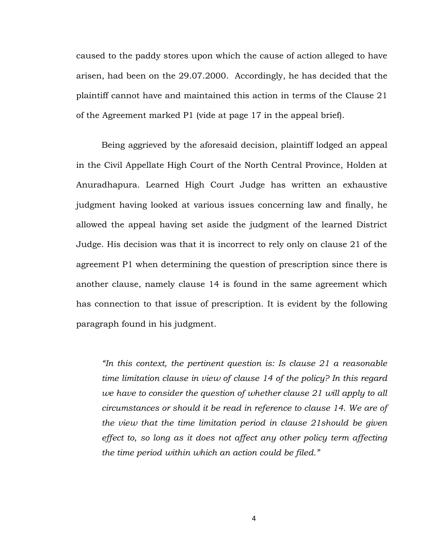caused to the paddy stores upon which the cause of action alleged to have arisen, had been on the 29.07.2000. Accordingly, he has decided that the plaintiff cannot have and maintained this action in terms of the Clause 21 of the Agreement marked P1 (vide at page 17 in the appeal brief).

Being aggrieved by the aforesaid decision, plaintiff lodged an appeal in the Civil Appellate High Court of the North Central Province, Holden at Anuradhapura. Learned High Court Judge has written an exhaustive judgment having looked at various issues concerning law and finally, he allowed the appeal having set aside the judgment of the learned District Judge. His decision was that it is incorrect to rely only on clause 21 of the agreement P1 when determining the question of prescription since there is another clause, namely clause 14 is found in the same agreement which has connection to that issue of prescription. It is evident by the following paragraph found in his judgment.

*"In this context, the pertinent question is: Is clause 21 a reasonable time limitation clause in view of clause 14 of the policy? In this regard we have to consider the question of whether clause 21 will apply to all circumstances or should it be read in reference to clause 14. We are of the view that the time limitation period in clause 21should be given effect to, so long as it does not affect any other policy term affecting the time period within which an action could be filed."*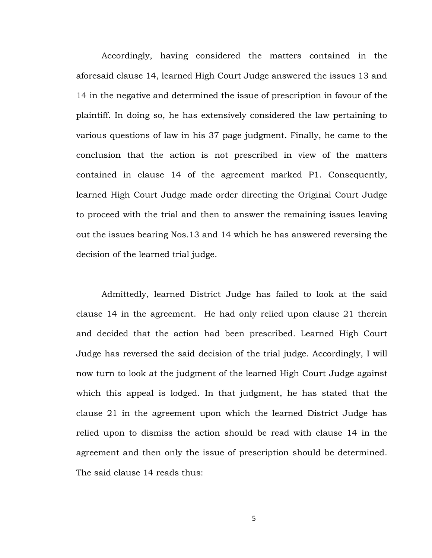Accordingly, having considered the matters contained in the aforesaid clause 14, learned High Court Judge answered the issues 13 and 14 in the negative and determined the issue of prescription in favour of the plaintiff. In doing so, he has extensively considered the law pertaining to various questions of law in his 37 page judgment. Finally, he came to the conclusion that the action is not prescribed in view of the matters contained in clause 14 of the agreement marked P1. Consequently, learned High Court Judge made order directing the Original Court Judge to proceed with the trial and then to answer the remaining issues leaving out the issues bearing Nos.13 and 14 which he has answered reversing the decision of the learned trial judge.

Admittedly, learned District Judge has failed to look at the said clause 14 in the agreement. He had only relied upon clause 21 therein and decided that the action had been prescribed. Learned High Court Judge has reversed the said decision of the trial judge. Accordingly, I will now turn to look at the judgment of the learned High Court Judge against which this appeal is lodged. In that judgment, he has stated that the clause 21 in the agreement upon which the learned District Judge has relied upon to dismiss the action should be read with clause 14 in the agreement and then only the issue of prescription should be determined. The said clause 14 reads thus: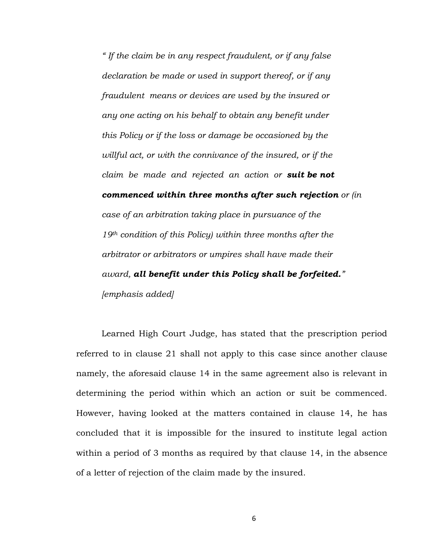*" If the claim be in any respect fraudulent, or if any false declaration be made or used in support thereof, or if any fraudulent means or devices are used by the insured or any one acting on his behalf to obtain any benefit under this Policy or if the loss or damage be occasioned by the willful act, or with the connivance of the insured, or if the claim be made and rejected an action or suit be not commenced within three months after such rejection or (in case of an arbitration taking place in pursuance of the 19th condition of this Policy) within three months after the arbitrator or arbitrators or umpires shall have made their award, all benefit under this Policy shall be forfeited." [emphasis added]*

Learned High Court Judge, has stated that the prescription period referred to in clause 21 shall not apply to this case since another clause namely, the aforesaid clause 14 in the same agreement also is relevant in determining the period within which an action or suit be commenced. However, having looked at the matters contained in clause 14, he has concluded that it is impossible for the insured to institute legal action within a period of 3 months as required by that clause 14, in the absence of a letter of rejection of the claim made by the insured.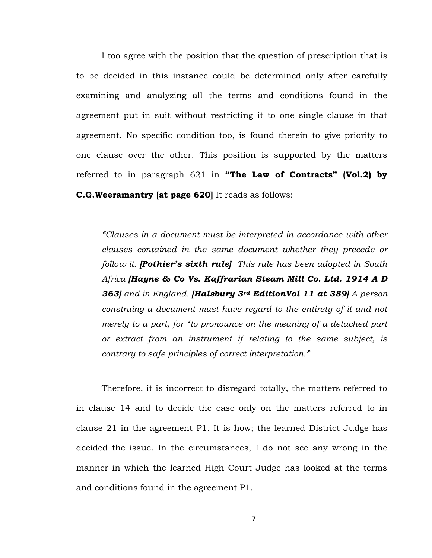I too agree with the position that the question of prescription that is to be decided in this instance could be determined only after carefully examining and analyzing all the terms and conditions found in the agreement put in suit without restricting it to one single clause in that agreement. No specific condition too, is found therein to give priority to one clause over the other. This position is supported by the matters referred to in paragraph 621 in **"The Law of Contracts" (Vol.2) by C.G.Weeramantry [at page 620]** It reads as follows:

*"Clauses in a document must be interpreted in accordance with other clauses contained in the same document whether they precede or follow it. [Pothier's sixth rule] This rule has been adopted in South Africa [Hayne & Co Vs. Kaffrarian Steam Mill Co. Ltd. 1914 A D 363] and in England. [Halsbury 3rd EditionVol 11 at 389] A person construing a document must have regard to the entirety of it and not merely to a part, for "to pronounce on the meaning of a detached part or extract from an instrument if relating to the same subject, is contrary to safe principles of correct interpretation."* 

Therefore, it is incorrect to disregard totally, the matters referred to in clause 14 and to decide the case only on the matters referred to in clause 21 in the agreement P1. It is how; the learned District Judge has decided the issue. In the circumstances, I do not see any wrong in the manner in which the learned High Court Judge has looked at the terms and conditions found in the agreement P1.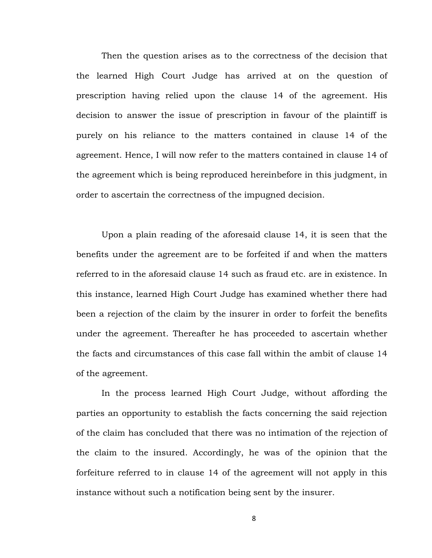Then the question arises as to the correctness of the decision that the learned High Court Judge has arrived at on the question of prescription having relied upon the clause 14 of the agreement. His decision to answer the issue of prescription in favour of the plaintiff is purely on his reliance to the matters contained in clause 14 of the agreement. Hence, I will now refer to the matters contained in clause 14 of the agreement which is being reproduced hereinbefore in this judgment, in order to ascertain the correctness of the impugned decision.

Upon a plain reading of the aforesaid clause 14, it is seen that the benefits under the agreement are to be forfeited if and when the matters referred to in the aforesaid clause 14 such as fraud etc. are in existence. In this instance, learned High Court Judge has examined whether there had been a rejection of the claim by the insurer in order to forfeit the benefits under the agreement. Thereafter he has proceeded to ascertain whether the facts and circumstances of this case fall within the ambit of clause 14 of the agreement.

In the process learned High Court Judge, without affording the parties an opportunity to establish the facts concerning the said rejection of the claim has concluded that there was no intimation of the rejection of the claim to the insured. Accordingly, he was of the opinion that the forfeiture referred to in clause 14 of the agreement will not apply in this instance without such a notification being sent by the insurer.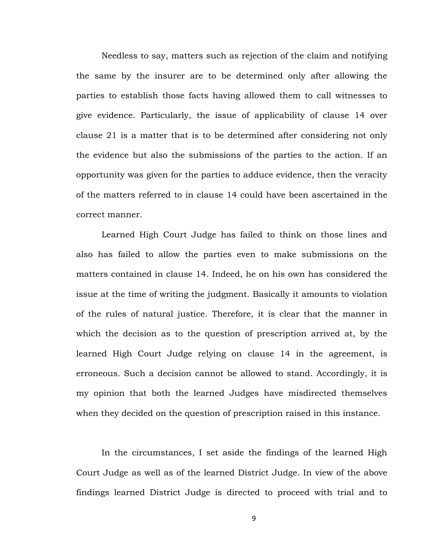Needless to say, matters such as rejection of the claim and notifying the same by the insurer are to be determined only after allowing the parties to establish those facts having allowed them to call witnesses to give evidence. Particularly, the issue of applicability of clause 14 over clause 21 is a matter that is to be determined after considering not only the evidence but also the submissions of the parties to the action. If an opportunity was given for the parties to adduce evidence, then the veracity of the matters referred to in clause 14 could have been ascertained in the correct manner.

Learned High Court Judge has failed to think on those lines and also has failed to allow the parties even to make submissions on the matters contained in clause 14. Indeed, he on his own has considered the issue at the time of writing the judgment. Basically it amounts to violation of the rules of natural justice. Therefore, it is clear that the manner in which the decision as to the question of prescription arrived at, by the learned High Court Judge relying on clause 14 in the agreement, is erroneous. Such a decision cannot be allowed to stand. Accordingly, it is my opinion that both the learned Judges have misdirected themselves when they decided on the question of prescription raised in this instance.

In the circumstances, I set aside the findings of the learned High Court Judge as well as of the learned District Judge. In view of the above findings learned District Judge is directed to proceed with trial and to